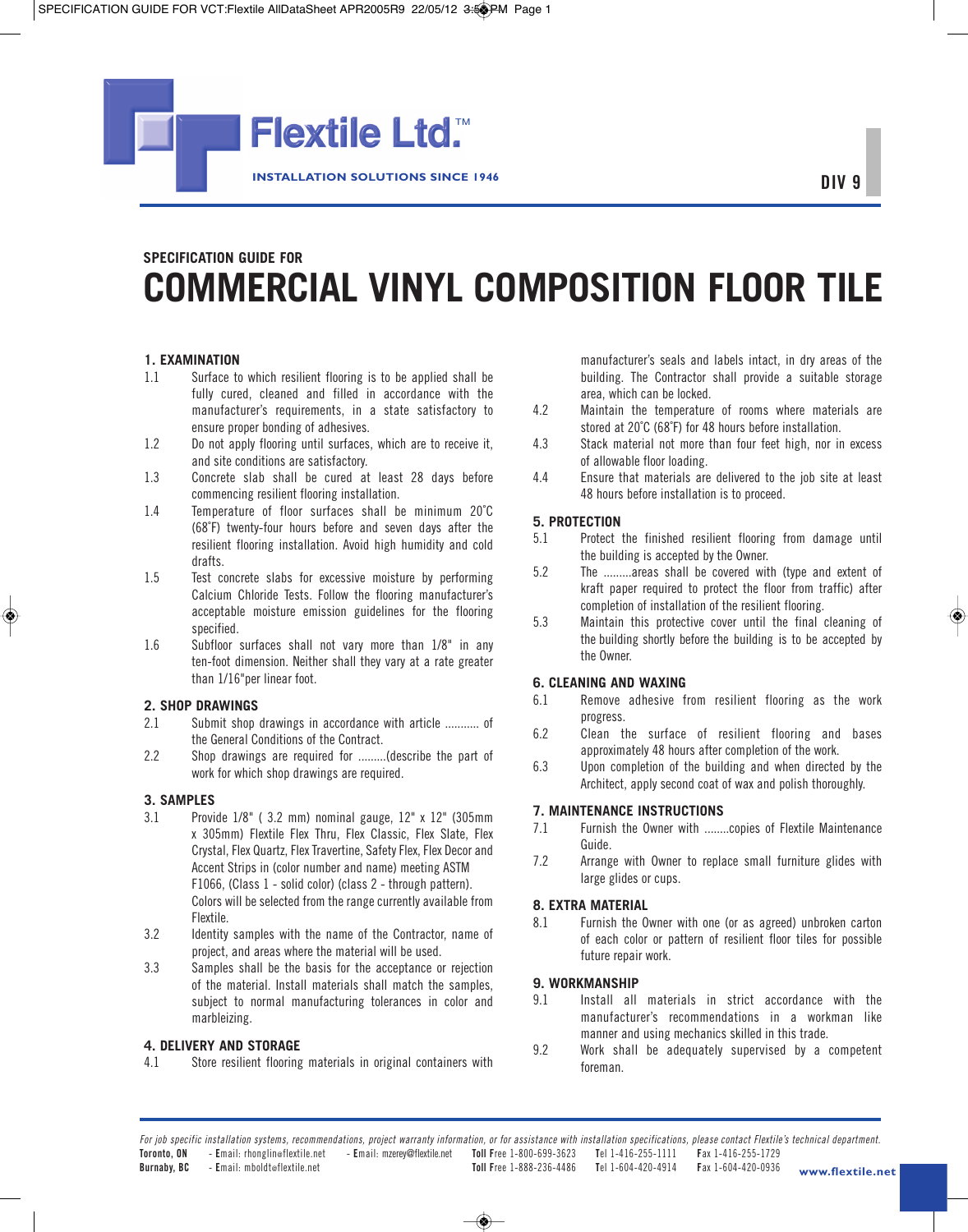# **SPECIFICATION GUIDE FOR COMMERCIAL VINYL COMPOSITION FLOOR TILE**

#### **1. EXAMINATION**

1.1 Surface to which resilient flooring is to be applied shall be fully cured, cleaned and filled in accordance with the manufacturer's requirements, in a state satisfactory to ensure proper bonding of adhesives.

Flextile Ltd."

- 1.2 Do not apply flooring until surfaces, which are to receive it, and site conditions are satisfactory.
- 1.3 Concrete slab shall be cured at least 28 days before commencing resilient flooring installation.
- 1.4 Temperature of floor surfaces shall be minimum 20˚C (68˚F) twenty-four hours before and seven days after the resilient flooring installation. Avoid high humidity and cold drafts.
- 1.5 Test concrete slabs for excessive moisture by performing Calcium Chloride Tests. Follow the flooring manufacturer's acceptable moisture emission guidelines for the flooring specified.
- 1.6 Subfloor surfaces shall not vary more than 1/8" in any ten-foot dimension. Neither shall they vary at a rate greater than 1/16"per linear foot.

#### **2. SHOP DRAWINGS**

- 2.1 Submit shop drawings in accordance with article ........... of the General Conditions of the Contract.
- 2.2 Shop drawings are required for .........(describe the part of work for which shop drawings are required.

#### **3. SAMPLES**

- 3.1 Provide 1/8" ( 3.2 mm) nominal gauge, 12" x 12" (305mm x 305mm) Flextile Flex Thru, Flex Classic, Flex Slate, Flex Crystal, Flex Quartz, Flex Travertine, Safety Flex, Flex Decor and Accent Strips in (color number and name) meeting ASTM F1066, (Class 1 - solid color) (class 2 - through pattern). Colors will be selected from the range currently available from Flextile.
- 3.2 Identity samples with the name of the Contractor, name of project, and areas where the material will be used.
- 3.3 Samples shall be the basis for the acceptance or rejection of the material. Install materials shall match the samples, subject to normal manufacturing tolerances in color and marbleizing.

#### **4. DELIVERY AND STORAGE**

4.1 Store resilient flooring materials in original containers with

manufacturer's seals and labels intact, in dry areas of the building. The Contractor shall provide a suitable storage area, which can be locked.

- 4.2 Maintain the temperature of rooms where materials are stored at 20˚C (68˚F) for 48 hours before installation.
- 4.3 Stack material not more than four feet high, nor in excess of allowable floor loading.
- 4.4 Ensure that materials are delivered to the job site at least 48 hours before installation is to proceed.

#### **5. PROTECTION**

- 5.1 Protect the finished resilient flooring from damage until the building is accepted by the Owner.
- 5.2 The .........areas shall be covered with (type and extent of kraft paper required to protect the floor from traffic) after completion of installation of the resilient flooring.
- 5.3 Maintain this protective cover until the final cleaning of the building shortly before the building is to be accepted by the Owner.

#### **6. CLEANING AND WAXING**

- 6.1 Remove adhesive from resilient flooring as the work progress.
- 6.2 Clean the surface of resilient flooring and bases approximately 48 hours after completion of the work.
- 6.3 Upon completion of the building and when directed by the Architect, apply second coat of wax and polish thoroughly.

#### **7. MAINTENANCE INSTRUCTIONS**

- 7.1 Furnish the Owner with ........copies of Flextile Maintenance Guide.
- 7.2 Arrange with Owner to replace small furniture glides with large glides or cups.

#### **8. EXTRA MATERIAL**

8.1 Furnish the Owner with one (or as agreed) unbroken carton of each color or pattern of resilient floor tiles for possible future repair work.

#### **9. WORKMANSHIP**

- 9.1 Install all materials in strict accordance with the manufacturer's recommendations in a workman like manner and using mechanics skilled in this trade.
- 9.2 Work shall be adequately supervised by a competent foreman.

For job specific installation systems, recommendations, project warranty information, or for assistance with installation specifications, please contact Flextile's technical department.

- Email: rhonglin@flextile.net **Toronto, ON** - **E**mail: rhonglin@flextile.net **Toll F**ree 1-800-699-3623 **T**el 1-416-255-1111 **F**ax 1-416-255-1729 - **E**mail: mzerey@flextile.net

**Burnaby, BC** - **E**mail: mboldt@flextile.net

**Toll <sup>F</sup>**ree 1-888-236-4486 **<sup>T</sup>**el 1-604-420-4914 **<sup>F</sup>**ax 1-604-420-0936 **www.flextile.net**